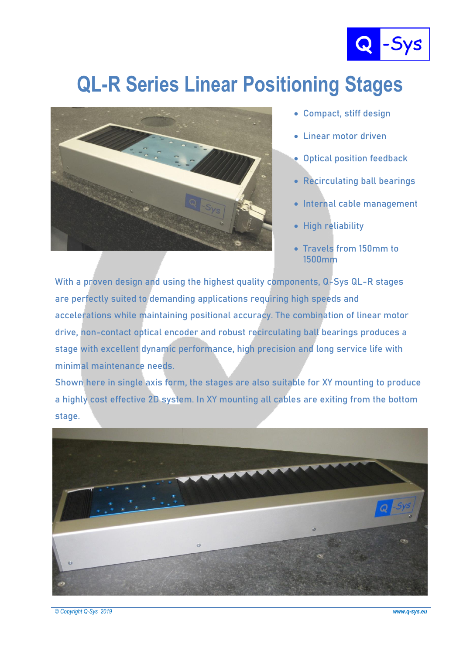

## **QL-R Series Linear Positioning Stages**



**Compact, stiff design**

- **Linear motor driven**
- **Optical position feedback**
- **Recirculating ball bearings**
- **Internal cable management**
- **High reliability**
- **Travels from 150mm to 1500mm**

**With a proven design and using the highest quality components, Q-Sys QL-R stages are perfectly suited to demanding applications requiring high speeds and accelerations while maintaining positional accuracy. The combination of linear motor drive, non-contact optical encoder and robust recirculating ball bearings produces a stage with excellent dynamic performance, high precision and long service life with minimal maintenance needs.**

**Shown here in single axis form, the stages are also suitable for XY mounting to produce a highly cost effective 2D system. In XY mounting all cables are exiting from the bottom stage.**